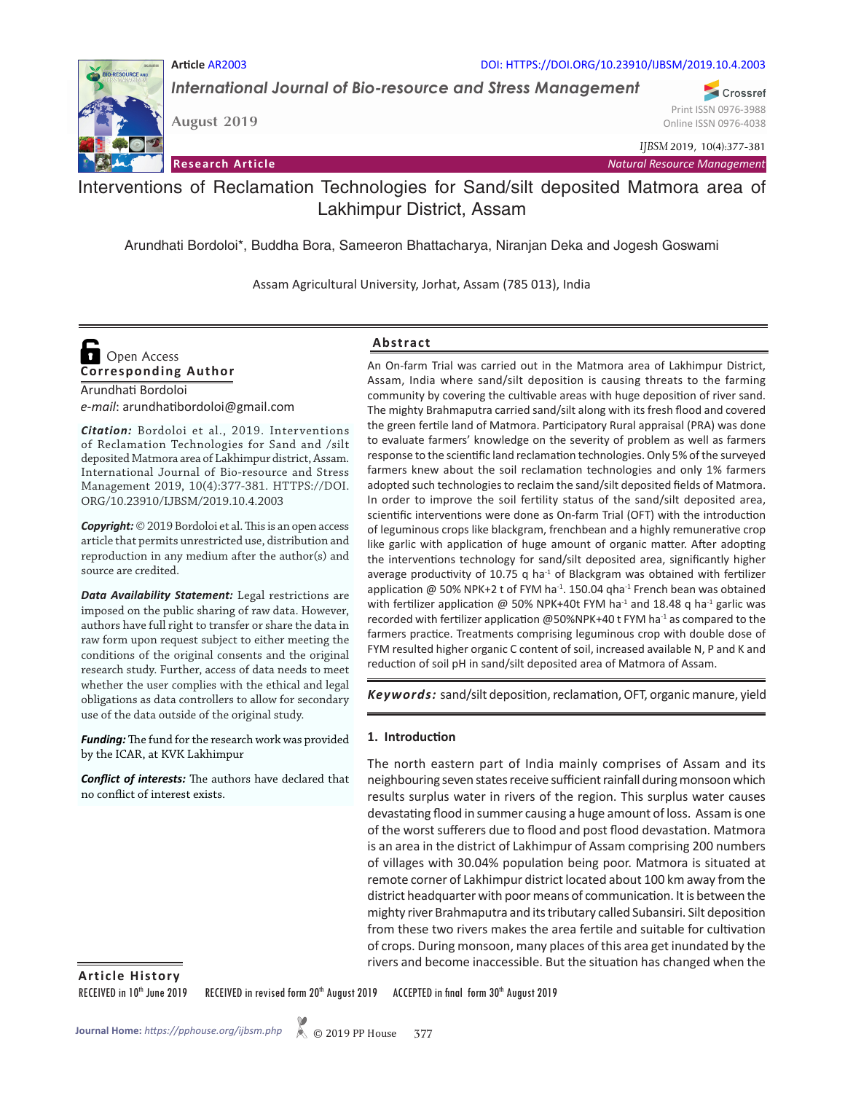

**Article** AR2003 DOI: HTTPS://DOI.ORG/10.23910/IJBSM/2019.10.4.2003

*International Journal of Bio-resource and Stress Management*

**August 2019**

Print ISSN 0976-3988 Online ISSN 0976-4038

Crossref

*IJBSM* 2019, 10(4):377-381

**Research Article** *Natural Resource Management*

Interventions of Reclamation Technologies for Sand/silt deposited Matmora area of Lakhimpur District, Assam

Arundhati Bordoloi\*, Buddha Bora, Sameeron Bhattacharya, Niranjan Deka and Jogesh Goswami

Assam Agricultural University, Jorhat, Assam (785 013), India

# **Corresponding Author**  Open Access

Arundhati Bordoloi *e-mail*: arundhatibordoloi@gmail.com

*Citation:* Bordoloi et al., 2019. Interventions of Reclamation Technologies for Sand and /silt deposited Matmora area of Lakhimpur district, Assam. International Journal of Bio-resource and Stress Management 2019, 10(4):377-381. HTTPS://DOI. ORG/10.23910/IJBSM/2019.10.4.2003

*Copyright:* © 2019 Bordoloi et al. This is an open access article that permits unrestricted use, distribution and reproduction in any medium after the author(s) and source are credited.

*Data Availability Statement:* Legal restrictions are imposed on the public sharing of raw data. However, authors have full right to transfer or share the data in raw form upon request subject to either meeting the conditions of the original consents and the original research study. Further, access of data needs to meet whether the user complies with the ethical and legal obligations as data controllers to allow for secondary use of the data outside of the original study.

*Funding:* The fund for the research work was provided by the ICAR, at KVK Lakhimpur

*Conflict of interests:* The authors have declared that no conflict of interest exists.

### **Abstract**

An On-farm Trial was carried out in the Matmora area of Lakhimpur District, Assam, India where sand/silt deposition is causing threats to the farming community by covering the cultivable areas with huge deposition of river sand. The mighty Brahmaputra carried sand/silt along with its fresh flood and covered the green fertile land of Matmora. Participatory Rural appraisal (PRA) was done to evaluate farmers' knowledge on the severity of problem as well as farmers response to the scientific land reclamation technologies. Only 5% of the surveyed farmers knew about the soil reclamation technologies and only 1% farmers adopted such technologies to reclaim the sand/silt deposited fields of Matmora. In order to improve the soil fertility status of the sand/silt deposited area, scientific interventions were done as On-farm Trial (OFT) with the introduction of leguminous crops like blackgram, frenchbean and a highly remunerative crop like garlic with application of huge amount of organic matter. After adopting the interventions technology for sand/silt deposited area, significantly higher average productivity of 10.75 q ha $^{-1}$  of Blackgram was obtained with fertilizer application  $@$  50% NPK+2 t of FYM ha<sup>-1</sup>. 150.04 qha<sup>-1</sup> French bean was obtained with fertilizer application @ 50% NPK+40t FYM ha<sup>-1</sup> and 18.48 q ha<sup>-1</sup> garlic was recorded with fertilizer application  $@50\%$ NPK+40 t FYM ha<sup>-1</sup> as compared to the farmers practice. Treatments comprising leguminous crop with double dose of FYM resulted higher organic C content of soil, increased available N, P and K and reduction of soil pH in sand/silt deposited area of Matmora of Assam.

*Keywords:* sand/silt deposition, reclamation, OFT, organic manure, yield

### **1. Introduction**

The north eastern part of India mainly comprises of Assam and its neighbouring seven states receive sufficient rainfall during monsoon which results surplus water in rivers of the region. This surplus water causes devastating flood in summer causing a huge amount of loss. Assam is one of the worst sufferers due to flood and post flood devastation. Matmora is an area in the district of Lakhimpur of Assam comprising 200 numbers of villages with 30.04% population being poor. Matmora is situated at remote corner of Lakhimpur district located about 100 km away from the district headquarter with poor means of communication. It is between the mighty river Brahmaputra and its tributary called Subansiri. Silt deposition from these two rivers makes the area fertile and suitable for cultivation of crops. During monsoon, many places of this area get inundated by the rivers and become inaccessible. But the situation has changed when the

**Article History**

RECEIVED in 10<sup>th</sup> June 2019 RECEIVED in revised form 20<sup>th</sup> August 2019 ACCEPTED in final form 30<sup>th</sup> August 2019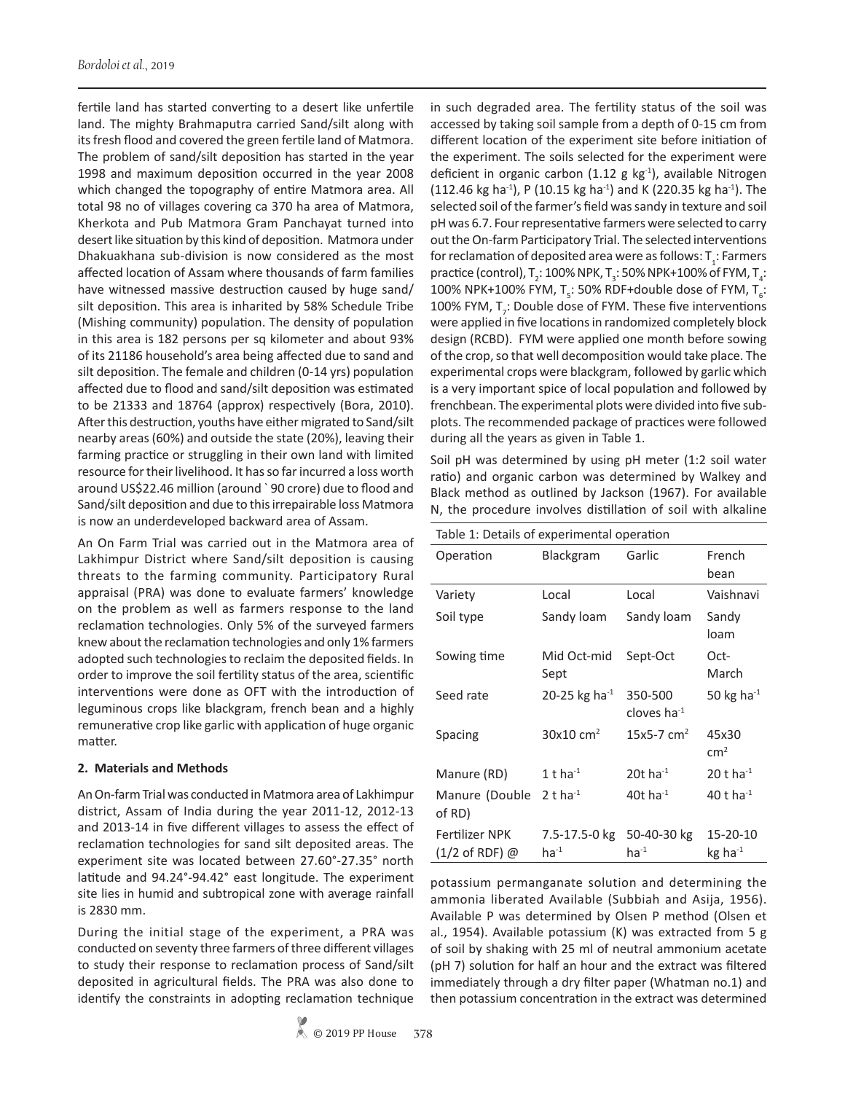fertile land has started converting to a desert like unfertile land. The mighty Brahmaputra carried Sand/silt along with its fresh flood and covered the green fertile land of Matmora. The problem of sand/silt deposition has started in the year 1998 and maximum deposition occurred in the year 2008 which changed the topography of entire Matmora area. All total 98 no of villages covering ca 370 ha area of Matmora, Kherkota and Pub Matmora Gram Panchayat turned into desert like situation by this kind of deposition. Matmora under Dhakuakhana sub-division is now considered as the most affected location of Assam where thousands of farm families have witnessed massive destruction caused by huge sand/ silt deposition. This area is inharited by 58% Schedule Tribe (Mishing community) population. The density of population in this area is 182 persons per sq kilometer and about 93% of its 21186 household's area being affected due to sand and silt deposition. The female and children (0-14 yrs) population affected due to flood and sand/silt deposition was estimated to be 21333 and 18764 (approx) respectively (Bora, 2010). After this destruction, youths have either migrated to Sand/silt nearby areas (60%) and outside the state (20%), leaving their farming practice or struggling in their own land with limited resource for their livelihood. It has so far incurred a loss worth around US\$22.46 million (around ` 90 crore) due to flood and Sand/silt deposition and due to this irrepairable loss Matmora is now an underdeveloped backward area of Assam.

An On Farm Trial was carried out in the Matmora area of Lakhimpur District where Sand/silt deposition is causing threats to the farming community. Participatory Rural appraisal (PRA) was done to evaluate farmers' knowledge on the problem as well as farmers response to the land reclamation technologies. Only 5% of the surveyed farmers knew about the reclamation technologies and only 1% farmers adopted such technologies to reclaim the deposited fields. In order to improve the soil fertility status of the area, scientific interventions were done as OFT with the introduction of leguminous crops like blackgram, french bean and a highly remunerative crop like garlic with application of huge organic matter.

### **2. Materials and Methods**

An On-farm Trial was conducted in Matmora area of Lakhimpur district, Assam of India during the year 2011-12, 2012-13 and 2013-14 in five different villages to assess the effect of reclamation technologies for sand silt deposited areas. The experiment site was located between 27.60°-27.35° north latitude and 94.24°-94.42° east longitude. The experiment site lies in humid and subtropical zone with average rainfall is 2830 mm.

During the initial stage of the experiment, a PRA was conducted on seventy three farmers of three different villages to study their response to reclamation process of Sand/silt deposited in agricultural fields. The PRA was also done to identify the constraints in adopting reclamation technique

in such degraded area. The fertility status of the soil was accessed by taking soil sample from a depth of 0-15 cm from different location of the experiment site before initiation of the experiment. The soils selected for the experiment were deficient in organic carbon (1.12 g  $kg<sup>-1</sup>$ ), available Nitrogen  $(112.46 \text{ kg ha}^{-1})$ , P  $(10.15 \text{ kg ha}^{-1})$  and K  $(220.35 \text{ kg ha}^{-1})$ . The selected soil of the farmer's field was sandy in texture and soil pH was 6.7. Four representative farmers were selected to carry out the On-farm Participatory Trial. The selected interventions for reclamation of deposited area were as follows:  ${\sf T}_{{\bf 1}}$ : Farmers practice (control), T<sub>2</sub>: 100% NPK, T<sub>3</sub>: 50% NPK+100% of FYM, T<sub>4</sub>: 100% NPK+100% FYM, T<sub>5</sub>: 50% RDF+double dose of FYM, T<sub>6</sub>: 100% FYM,  $T<sub>7</sub>$ : Double dose of FYM. These five interventions were applied in five locations in randomized completely block design (RCBD). FYM were applied one month before sowing of the crop, so that well decomposition would take place. The experimental crops were blackgram, followed by garlic which is a very important spice of local population and followed by frenchbean. The experimental plots were divided into five subplots. The recommended package of practices were followed during all the years as given in Table 1.

Soil pH was determined by using pH meter (1:2 soil water ratio) and organic carbon was determined by Walkey and Black method as outlined by Jackson (1967). For available N, the procedure involves distillation of soil with alkaline

| Table 1: Details of experimental operation        |                                        |                              |                                 |  |  |  |
|---------------------------------------------------|----------------------------------------|------------------------------|---------------------------------|--|--|--|
| Operation                                         | Blackgram                              | Garlic                       | French<br>bean                  |  |  |  |
| Variety                                           | Local                                  | Local                        | Vaishnavi                       |  |  |  |
| Soil type                                         | Sandy loam                             | Sandy loam                   | Sandy<br>loam                   |  |  |  |
| Sowing time                                       | Mid Oct-mid<br>Sept                    | Sept-Oct                     | Oct-<br>March                   |  |  |  |
| Seed rate                                         | 20-25 kg ha <sup>-1</sup>              | 350-500<br>cloves ha $^{-1}$ | 50 kg ha $^{-1}$                |  |  |  |
| <b>Spacing</b>                                    | $30x10$ cm <sup>2</sup>                | $15x5 - 7$ cm <sup>2</sup>   | 45x30<br>cm <sup>2</sup>        |  |  |  |
| Manure (RD)                                       | $1$ t ha <sup>-1</sup>                 | 20t ha $^{-1}$               | $20$ t ha $^{-1}$               |  |  |  |
| Manure (Double 2 t ha <sup>-1</sup><br>of RD)     |                                        | 40t ha $^{-1}$               | 40 t ha $^{-1}$                 |  |  |  |
| <b>Fertilizer NPK</b><br>$(1/2 \text{ of RDF})$ @ | 7.5-17.5-0 kg 50-40-30 kg<br>$ha^{-1}$ | $ha^{-1}$                    | 15-20-10<br>kg ha <sup>-1</sup> |  |  |  |

potassium permanganate solution and determining the ammonia liberated Available (Subbiah and Asija, 1956). Available P was determined by Olsen P method (Olsen et al., 1954). Available potassium (K) was extracted from 5 g of soil by shaking with 25 ml of neutral ammonium acetate (pH 7) solution for half an hour and the extract was filtered immediately through a dry filter paper (Whatman no.1) and then potassium concentration in the extract was determined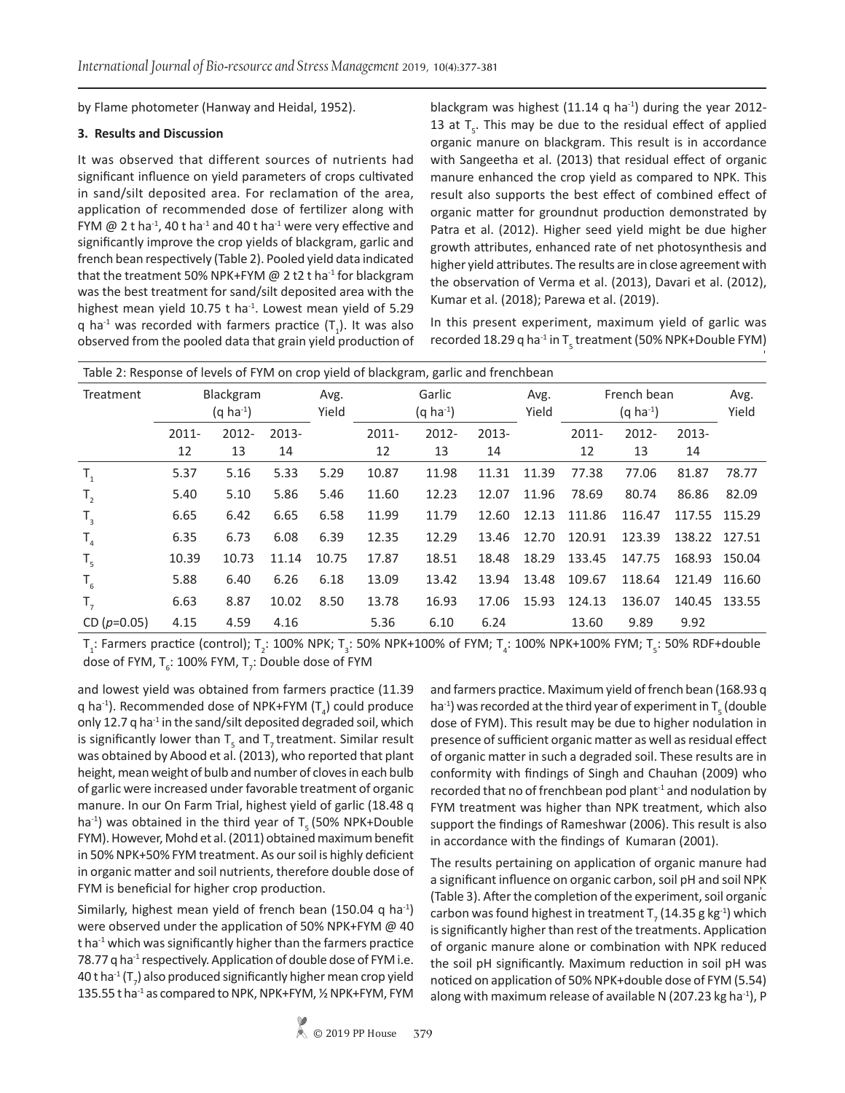by Flame photometer (Hanway and Heidal, 1952).

### **3. Results and Discussion**

It was observed that different sources of nutrients had significant influence on yield parameters of crops cultivated in sand/silt deposited area. For reclamation of the area, application of recommended dose of fertilizer along with FYM  $@$  2 t ha<sup>-1</sup>, 40 t ha<sup>-1</sup> and 40 t ha<sup>-1</sup> were very effective and significantly improve the crop yields of blackgram, garlic and french bean respectively (Table 2). Pooled yield data indicated that the treatment 50% NPK+FYM  $\omega$  2 t2 t ha<sup>-1</sup> for blackgram was the best treatment for sand/silt deposited area with the highest mean yield 10.75 t ha $^{-1}$ . Lowest mean yield of 5.29 q ha<sup>-1</sup> was recorded with farmers practice  $(T_1)$ . It was also observed from the pooled data that grain yield production of

blackgram was highest (11.14 q ha $^{-1}$ ) during the year 2012-13 at  $T_s$ . This may be due to the residual effect of applied organic manure on blackgram. This result is in accordance with Sangeetha et al. (2013) that residual effect of organic manure enhanced the crop yield as compared to NPK. This result also supports the best effect of combined effect of organic matter for groundnut production demonstrated by Patra et al. (2012). Higher seed yield might be due higher growth attributes, enhanced rate of net photosynthesis and higher yield attributes. The results are in close agreement with the observation of Verma et al. (2013), Davari et al. (2012), Kumar et al. (2018); Parewa et al. (2019).

In this present experiment, maximum yield of garlic was recorded 18.29 q ha $^{\text{-}1}$  in T $_{\text{-}}$  treatment (50% NPK+Double FYM)

| Table 2: Response of levels of FYM on crop yield of blackgram, garlic and frenchbean |          |                  |          |       |          |                  |          |       |        |                  |          |        |
|--------------------------------------------------------------------------------------|----------|------------------|----------|-------|----------|------------------|----------|-------|--------|------------------|----------|--------|
| Blackgram<br>Treatment                                                               |          | Avg.             | Garlic   |       | Avg.     | French bean      |          | Avg.  |        |                  |          |        |
|                                                                                      |          | $(q \, ha^{-1})$ |          | Yield |          | $(q \, ha^{-1})$ |          | Yield |        | $(q \, ha^{-1})$ |          | Yield  |
|                                                                                      | $2011 -$ | $2012 -$         | $2013 -$ |       | $2011 -$ | $2012 -$         | $2013 -$ |       | 2011-  | $2012 -$         | $2013 -$ |        |
|                                                                                      | 12       | 13               | 14       |       | 12       | 13               | 14       |       | 12     | 13               | 14       |        |
| $T_{1}$                                                                              | 5.37     | 5.16             | 5.33     | 5.29  | 10.87    | 11.98            | 11.31    | 11.39 | 77.38  | 77.06            | 81.87    | 78.77  |
| $T_{2}$                                                                              | 5.40     | 5.10             | 5.86     | 5.46  | 11.60    | 12.23            | 12.07    | 11.96 | 78.69  | 80.74            | 86.86    | 82.09  |
| $T_{3}$                                                                              | 6.65     | 6.42             | 6.65     | 6.58  | 11.99    | 11.79            | 12.60    | 12.13 | 111.86 | 116.47           | 117.55   | 115.29 |
| $T_{4}$                                                                              | 6.35     | 6.73             | 6.08     | 6.39  | 12.35    | 12.29            | 13.46    | 12.70 | 120.91 | 123.39           | 138.22   | 127.51 |
| $T_{5}$                                                                              | 10.39    | 10.73            | 11.14    | 10.75 | 17.87    | 18.51            | 18.48    | 18.29 | 133.45 | 147.75           | 168.93   | 150.04 |
| $T_{6}$                                                                              | 5.88     | 6.40             | 6.26     | 6.18  | 13.09    | 13.42            | 13.94    | 13.48 | 109.67 | 118.64           | 121.49   | 116.60 |
| $T_{7}$                                                                              | 6.63     | 8.87             | 10.02    | 8.50  | 13.78    | 16.93            | 17.06    | 15.93 | 124.13 | 136.07           | 140.45   | 133.55 |
| CD $(p=0.05)$                                                                        | 4.15     | 4.59             | 4.16     |       | 5.36     | 6.10             | 6.24     |       | 13.60  | 9.89             | 9.92     |        |

 $T_i$ : Farmers practice (control);  $T_2$ : 100% NPK;  $T_3$ : 50% NPK+100% of FYM;  $T_4$ : 100% NPK+100% FYM;  $T_5$ : 50% RDF+double dose of FYM, T<sub>6</sub>: 100% FYM, T<sub>7</sub>: Double dose of FYM

and lowest yield was obtained from farmers practice (11.39 q ha<sup>-1</sup>). Recommended dose of NPK+FYM (T<sub>4</sub>) could produce only 12.7 q ha<sup>-1</sup> in the sand/silt deposited degraded soil, which is significantly lower than  $T_{5}$  and  $T_{7}$  treatment. Similar result was obtained by Abood et al. (2013), who reported that plant height, mean weight of bulb and number of cloves in each bulb of garlic were increased under favorable treatment of organic manure. In our On Farm Trial, highest yield of garlic (18.48 q ha<sup>-1</sup>) was obtained in the third year of  $T<sub>r</sub>$  (50% NPK+Double FYM). However, Mohd et al. (2011) obtained maximum benefit in 50% NPK+50% FYM treatment. As our soil is highly deficient in organic matter and soil nutrients, therefore double dose of FYM is beneficial for higher crop production.

Similarly, highest mean yield of french bean (150.04 q ha<sup>-1</sup>) were observed under the application of 50% NPK+FYM @ 40 t ha $^{-1}$  which was significantly higher than the farmers practice 78.77 q ha $^{-1}$  respectively. Application of double dose of FYM i.e. 40 t ha $^4$  (T<sub>7</sub>) also produced significantly higher mean crop yield 135.55 t ha<sup>-1</sup> as compared to NPK, NPK+FYM, 1/2 NPK+FYM, FYM

and farmers practice. Maximum yield of french bean (168.93 q ha<sup>-1</sup>) was recorded at the third year of experiment in T<sub>5</sub> (double dose of FYM). This result may be due to higher nodulation in presence of sufficient organic matter as well as residual effect of organic matter in such a degraded soil. These results are in conformity with findings of Singh and Chauhan (2009) who recorded that no of frenchbean pod plant $1$  and nodulation by FYM treatment was higher than NPK treatment, which also support the findings of Rameshwar (2006). This result is also in accordance with the findings of Kumaran (2001).

The results pertaining on application of organic manure had a significant influence on organic carbon, soil pH and soil NPK (Table 3). After the completion of the experiment, soil organic carbon was found highest in treatment T<sub>7</sub> (14.35 g kg<sup>-1</sup>) which is significantly higher than rest of the treatments. Application of organic manure alone or combination with NPK reduced the soil pH significantly. Maximum reduction in soil pH was noticed on application of 50% NPK+double dose of FYM (5.54) along with maximum release of available N (207.23 kg ha<sup>-1</sup>), P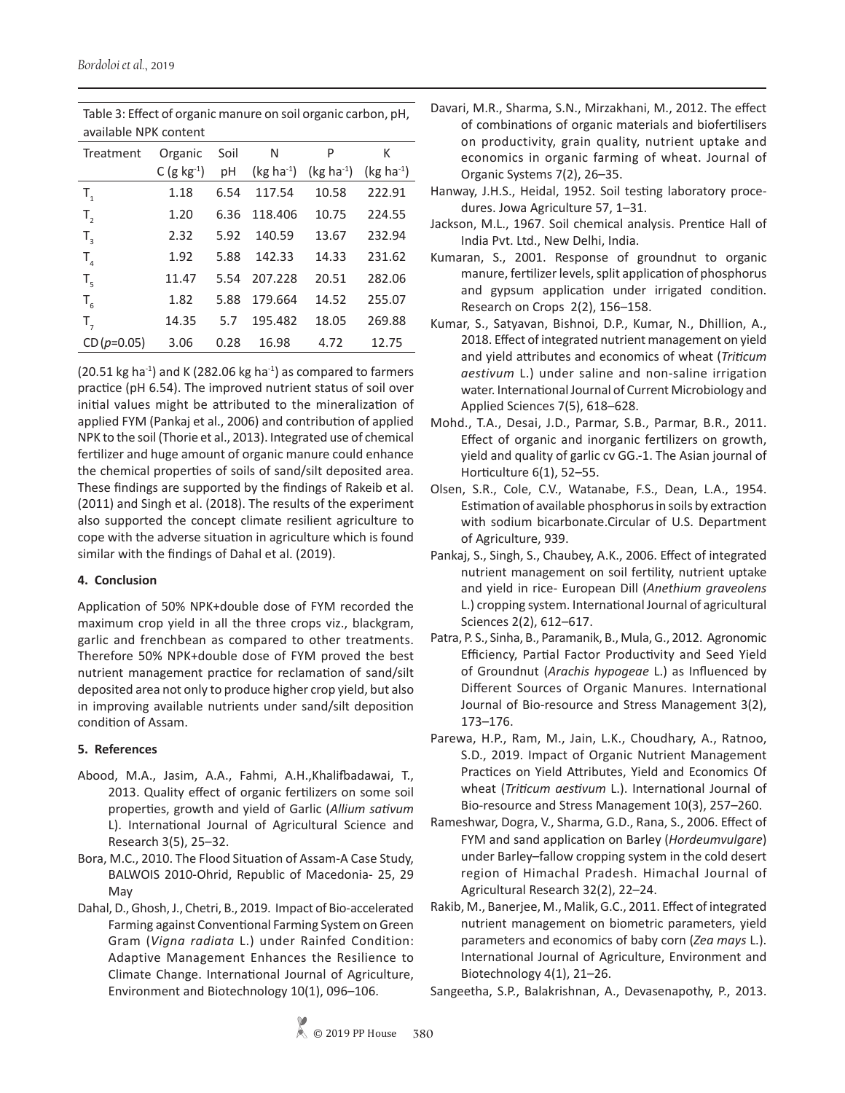| dvdildule inn cuilteill |                  |      |             |             |             |  |
|-------------------------|------------------|------|-------------|-------------|-------------|--|
| Treatment               | Organic          | Soil | Ν           | P           | К           |  |
|                         | C (g $kg^{-1}$ ) | рH   | $(kg ha-1)$ | $(kg ha-1)$ | $(kg ha-1)$ |  |
| $T_{1}$                 | 1.18             | 6.54 | 117.54      | 10.58       | 222.91      |  |
| T,                      | 1.20             | 6.36 | 118.406     | 10.75       | 224.55      |  |
| $T_{3}$                 | 2.32             | 5.92 | 140.59      | 13.67       | 232.94      |  |
| $T_{\rm A}$             | 1.92             | 5.88 | 142.33      | 14.33       | 231.62      |  |
| $T_{\rm g}$             | 11.47            | 5.54 | 207.228     | 20.51       | 282.06      |  |
| $T_{6}$                 | 1.82             | 5.88 | 179.664     | 14.52       | 255.07      |  |
| $T_{7}$                 | 14.35            | 5.7  | 195.482     | 18.05       | 269.88      |  |
| $CD(p=0.05)$            | 3.06             | 0.28 | 16.98       | 4.72        | 12.75       |  |

Table 3: Effect of organic manure on soil organic carbon, pH, available NPK content

(20.51 kg ha<sup>-1</sup>) and K (282.06 kg ha<sup>-1</sup>) as compared to farmers practice (pH 6.54). The improved nutrient status of soil over initial values might be attributed to the mineralization of applied FYM (Pankaj et al., 2006) and contribution of applied NPK to the soil (Thorie et al., 2013). Integrated use of chemical fertilizer and huge amount of organic manure could enhance the chemical properties of soils of sand/silt deposited area. These findings are supported by the findings of Rakeib et al. (2011) and Singh et al. (2018). The results of the experiment also supported the concept climate resilient agriculture to cope with the adverse situation in agriculture which is found similar with the findings of Dahal et al. (2019).

## **4. Conclusion**

Application of 50% NPK+double dose of FYM recorded the maximum crop yield in all the three crops viz., blackgram, garlic and frenchbean as compared to other treatments. Therefore 50% NPK+double dose of FYM proved the best nutrient management practice for reclamation of sand/silt deposited area not only to produce higher crop yield, but also in improving available nutrients under sand/silt deposition condition of Assam.

## **5. References**

- Abood, M.A., Jasim, A.A., Fahmi, A.H.,Khalifbadawai, T., 2013. Quality effect of organic fertilizers on some soil properties, growth and yield of Garlic (*Allium sativum* L). International Journal of Agricultural Science and Research 3(5), 25–32.
- Bora, M.C., 2010. The Flood Situation of Assam-A Case Study, BALWOIS 2010-Ohrid, Republic of Macedonia- 25, 29 May
- Dahal, D., Ghosh, J., Chetri, B., 2019. Impact of Bio-accelerated Farming against Conventional Farming System on Green Gram (*Vigna radiata* L.) under Rainfed Condition: Adaptive Management Enhances the Resilience to Climate Change. International Journal of Agriculture, Environment and Biotechnology 10(1), 096–106.
- Davari, M.R., Sharma, S.N., Mirzakhani, M., 2012. The effect of combinations of organic materials and biofertilisers on productivity, grain quality, nutrient uptake and economics in organic farming of wheat. Journal of Organic Systems 7(2), 26–35.
- Hanway, J.H.S., Heidal, 1952. Soil testing laboratory procedures. Jowa Agriculture 57, 1–31.
- Jackson, M.L., 1967. Soil chemical analysis. Prentice Hall of India Pvt. Ltd., New Delhi, India.
- Kumaran, S., 2001. Response of groundnut to organic manure, fertilizer levels, split application of phosphorus and gypsum application under irrigated condition. Research on Crops 2(2), 156–158.
- Kumar, S., Satyavan, Bishnoi, D.P., Kumar, N., Dhillion, A., 2018. Effect of integrated nutrient management on yield and yield attributes and economics of wheat (*Triticum aestivum* L.) under saline and non-saline irrigation water. International Journal of Current Microbiology and Applied Sciences 7(5), 618–628.
- Mohd., T.A., Desai, J.D., Parmar, S.B., Parmar, B.R., 2011. Effect of organic and inorganic fertilizers on growth, yield and quality of garlic cv GG.-1. The Asian journal of Horticulture 6(1), 52–55.
- Olsen, S.R., Cole, C.V., Watanabe, F.S., Dean, L.A., 1954. Estimation of available phosphorus in soils by extraction with sodium bicarbonate.Circular of U.S. Department of Agriculture, 939.
- Pankaj, S., Singh, S., Chaubey, A.K., 2006. Effect of integrated nutrient management on soil fertility, nutrient uptake and yield in rice- European Dill (*Anethium graveolens*  L.) cropping system. International Journal of agricultural Sciences 2(2), 612–617.
- Patra, P. S., Sinha, B., Paramanik, B., Mula, G., 2012. Agronomic Efficiency, Partial Factor Productivity and Seed Yield of Groundnut (*Arachis hypogeae* L.) as Influenced by Different Sources of Organic Manures. International Journal of Bio-resource and Stress Management 3(2), 173–176.
- Parewa, H.P., Ram, M., Jain, L.K., Choudhary, A., Ratnoo, S.D., 2019. Impact of Organic Nutrient Management Practices on Yield Attributes, Yield and Economics Of wheat (*Triticum aestivum* L.). International Journal of Bio-resource and Stress Management 10(3), 257–260.
- Rameshwar, Dogra, V., Sharma, G.D., Rana, S., 2006. Effect of FYM and sand application on Barley (*Hordeumvulgare*) under Barley–fallow cropping system in the cold desert region of Himachal Pradesh. Himachal Journal of Agricultural Research 32(2), 22–24.
- Rakib, M., Banerjee, M., Malik, G.C., 2011. Effect of integrated nutrient management on biometric parameters, yield parameters and economics of baby corn (*Zea mays* L.). International Journal of Agriculture, Environment and Biotechnology 4(1), 21–26.
- Sangeetha, S.P., Balakrishnan, A., Devasenapothy, P., 2013.